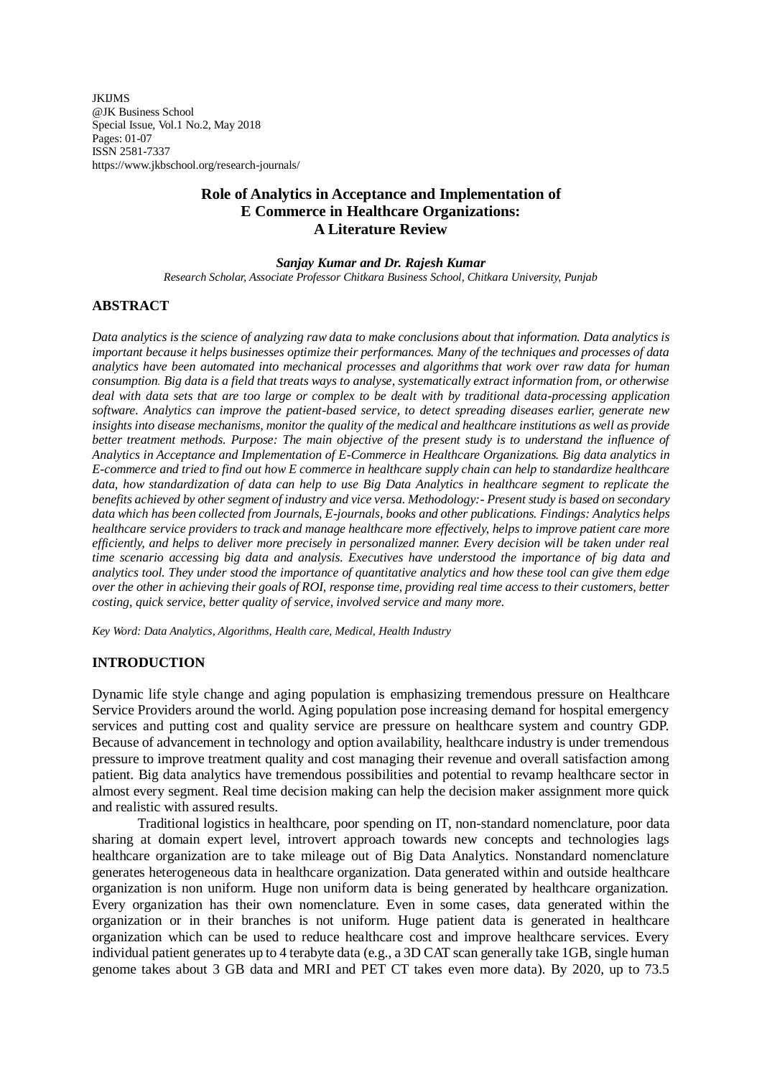*IKIIMS* @JK Business School Special Issue, Vol.1 No.2, May 2018 Pages: 01-07 ISSN 2581-7337 https://www.jkbschool.org/research-journals/

# **Role of Analytics in Acceptance and Implementation of E Commerce in Healthcare Organizations: A Literature Review**

#### *Sanjay Kumar and Dr. Rajesh Kumar*

*Research Scholar, Associate Professor Chitkara Business School, Chitkara University, Punjab*

### **ABSTRACT**

*Data analytics is the science of analyzing raw data to make conclusions about that information. Data analytics is important because it helps businesses optimize their performances. Many of the techniques and processes of data analytics have been automated into mechanical processes and [algorithms](https://www.investopedia.com/terms/a/algorithm.asp) that work over raw data for human consumption. Big data is a field that treats ways to analyse, systematically extract information from, or otherwise deal with data sets that are too large or complex to be dealt with by traditional data-processing application software. Analytics can improve the patient-based service, to detect spreading diseases earlier, generate new insights into disease mechanisms, monitor the quality of the medical and healthcare institutions as well as provide better treatment methods. Purpose: The main objective of the present study is to understand the influence of Analytics in Acceptance and Implementation of E-Commerce in Healthcare Organizations. Big data analytics in E-commerce and tried to find out how E commerce in healthcare supply chain can help to standardize healthcare data, how standardization of data can help to use Big Data Analytics in healthcare segment to replicate the benefits achieved by other segment of industry and vice versa. Methodology:- Present study is based on secondary data which has been collected from Journals, E-journals, books and other publications. Findings: Analytics helps healthcare service providers to track and manage healthcare more effectively, helps to improve patient care more efficiently, and helps to deliver more precisely in personalized manner. Every decision will be taken under real time scenario accessing big data and analysis. Executives have understood the importance of big data and analytics tool. They under stood the importance of quantitative analytics and how these tool can give them edge over the other in achieving their goals of ROI, response time, providing real time access to their customers, better costing, quick service, better quality of service, involved service and many more.*

*Key Word: Data Analytics, Algorithms, Health care, Medical, Health Industry*

#### **INTRODUCTION**

Dynamic life style change and aging population is emphasizing tremendous pressure on Healthcare Service Providers around the world. Aging population pose increasing demand for hospital emergency services and putting cost and quality service are pressure on healthcare system and country GDP. Because of advancement in technology and option availability, healthcare industry is under tremendous pressure to improve treatment quality and cost managing their revenue and overall satisfaction among patient. Big data analytics have tremendous possibilities and potential to revamp healthcare sector in almost every segment. Real time decision making can help the decision maker assignment more quick and realistic with assured results.

Traditional logistics in healthcare, poor spending on IT, non-standard nomenclature, poor data sharing at domain expert level, introvert approach towards new concepts and technologies lags healthcare organization are to take mileage out of Big Data Analytics. Nonstandard nomenclature generates heterogeneous data in healthcare organization. Data generated within and outside healthcare organization is non uniform. Huge non uniform data is being generated by healthcare organization. Every organization has their own nomenclature. Even in some cases, data generated within the organization or in their branches is not uniform. Huge patient data is generated in healthcare organization which can be used to reduce healthcare cost and improve healthcare services. Every individual patient generates up to 4 terabyte data (e.g., a 3D CAT scan generally take 1GB, single human genome takes about 3 GB data and MRI and PET CT takes even more data). By 2020, up to 73.5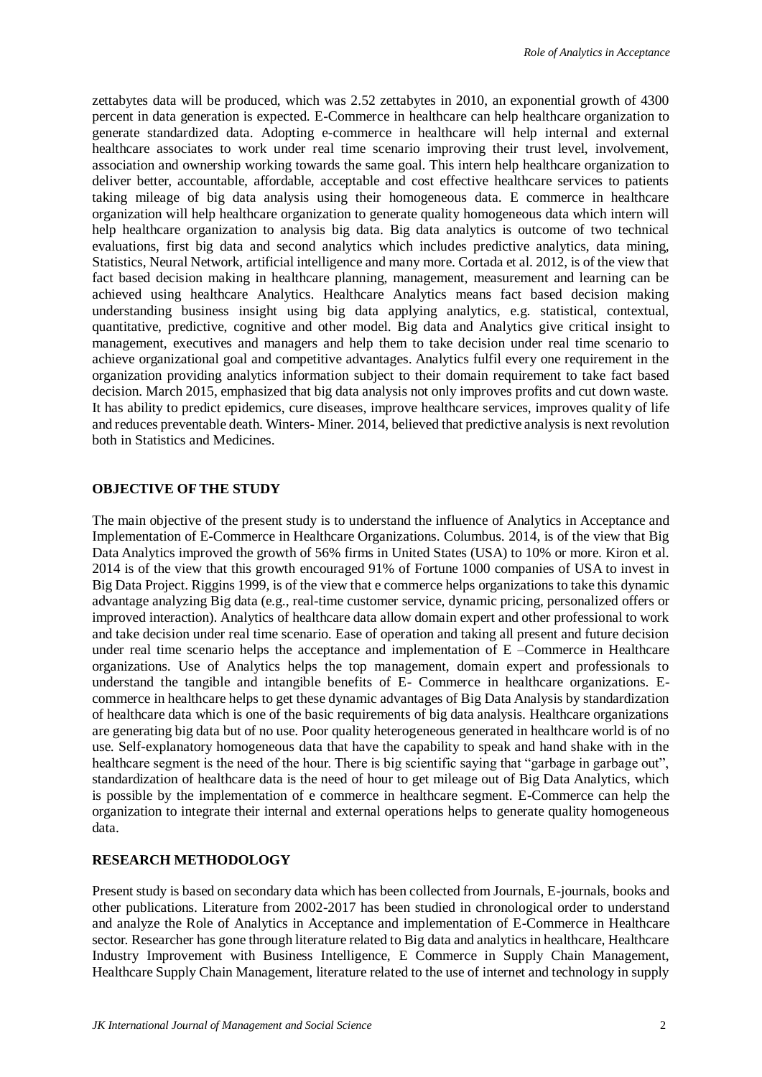zettabytes data will be produced, which was 2.52 zettabytes in 2010, an exponential growth of 4300 percent in data generation is expected. E-Commerce in healthcare can help healthcare organization to generate standardized data. Adopting e-commerce in healthcare will help internal and external healthcare associates to work under real time scenario improving their trust level, involvement, association and ownership working towards the same goal. This intern help healthcare organization to deliver better, accountable, affordable, acceptable and cost effective healthcare services to patients taking mileage of big data analysis using their homogeneous data. E commerce in healthcare organization will help healthcare organization to generate quality homogeneous data which intern will help healthcare organization to analysis big data. Big data analytics is outcome of two technical evaluations, first big data and second analytics which includes predictive analytics, data mining, Statistics, Neural Network, artificial intelligence and many more. Cortada et al. 2012, is of the view that fact based decision making in healthcare planning, management, measurement and learning can be achieved using healthcare Analytics. Healthcare Analytics means fact based decision making understanding business insight using big data applying analytics, e.g. statistical, contextual, quantitative, predictive, cognitive and other model. Big data and Analytics give critical insight to management, executives and managers and help them to take decision under real time scenario to achieve organizational goal and competitive advantages. Analytics fulfil every one requirement in the organization providing analytics information subject to their domain requirement to take fact based decision. March 2015, emphasized that big data analysis not only improves profits and cut down waste. It has ability to predict epidemics, cure diseases, improve healthcare services, improves quality of life and reduces preventable death. Winters- Miner. 2014, believed that predictive analysis is next revolution both in Statistics and Medicines.

#### **OBJECTIVE OF THE STUDY**

The main objective of the present study is to understand the influence of Analytics in Acceptance and Implementation of E-Commerce in Healthcare Organizations. Columbus. 2014, is of the view that Big Data Analytics improved the growth of 56% firms in United States (USA) to 10% or more. Kiron et al. 2014 is of the view that this growth encouraged 91% of Fortune 1000 companies of USA to invest in Big Data Project. Riggins 1999, is of the view that e commerce helps organizations to take this dynamic advantage analyzing Big data (e.g., real-time customer service, dynamic pricing, personalized offers or improved interaction). Analytics of healthcare data allow domain expert and other professional to work and take decision under real time scenario. Ease of operation and taking all present and future decision under real time scenario helps the acceptance and implementation of E –Commerce in Healthcare organizations. Use of Analytics helps the top management, domain expert and professionals to understand the tangible and intangible benefits of E- Commerce in healthcare organizations. Ecommerce in healthcare helps to get these dynamic advantages of Big Data Analysis by standardization of healthcare data which is one of the basic requirements of big data analysis. Healthcare organizations are generating big data but of no use. Poor quality heterogeneous generated in healthcare world is of no use. Self-explanatory homogeneous data that have the capability to speak and hand shake with in the healthcare segment is the need of the hour. There is big scientific saying that "garbage in garbage out", standardization of healthcare data is the need of hour to get mileage out of Big Data Analytics, which is possible by the implementation of e commerce in healthcare segment. E-Commerce can help the organization to integrate their internal and external operations helps to generate quality homogeneous data.

## **RESEARCH METHODOLOGY**

Present study is based on secondary data which has been collected from Journals, E-journals, books and other publications. Literature from 2002-2017 has been studied in chronological order to understand and analyze the Role of Analytics in Acceptance and implementation of E-Commerce in Healthcare sector. Researcher has gone through literature related to Big data and analytics in healthcare, Healthcare Industry Improvement with Business Intelligence, E Commerce in Supply Chain Management, Healthcare Supply Chain Management, literature related to the use of internet and technology in supply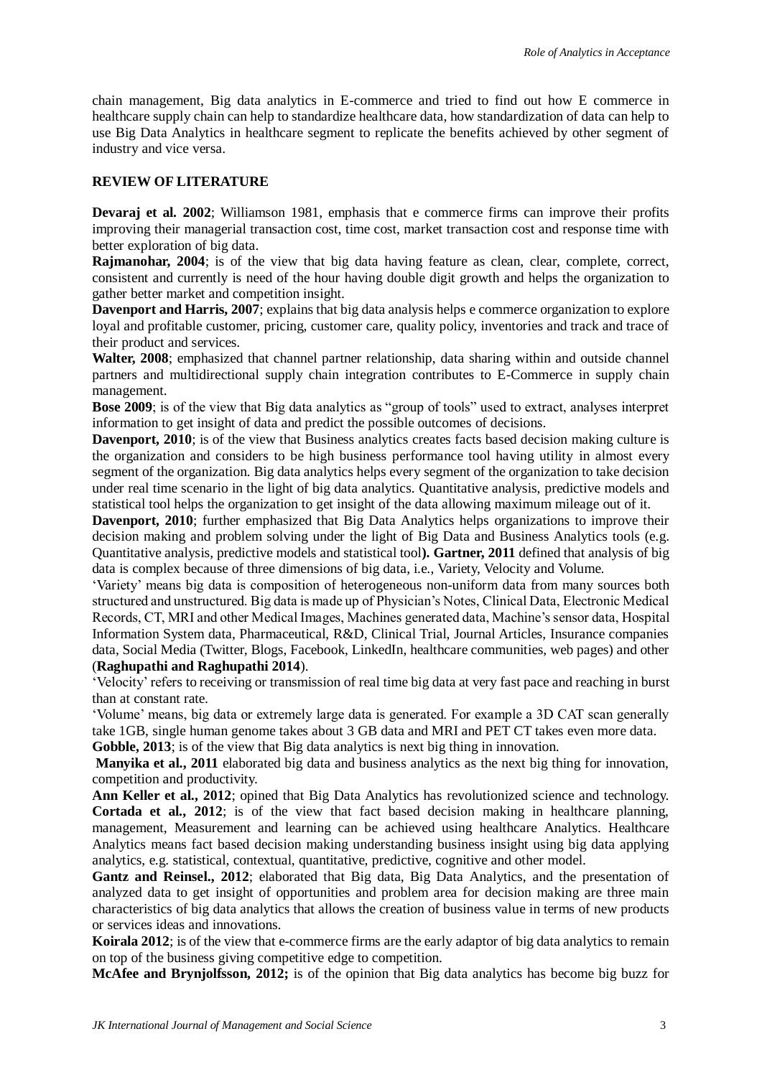chain management, Big data analytics in E-commerce and tried to find out how E commerce in healthcare supply chain can help to standardize healthcare data, how standardization of data can help to use Big Data Analytics in healthcare segment to replicate the benefits achieved by other segment of industry and vice versa.

## **REVIEW OF LITERATURE**

**Devaraj et al. 2002**; Williamson 1981, emphasis that e commerce firms can improve their profits improving their managerial transaction cost, time cost, market transaction cost and response time with better exploration of big data.

**Raimanohar, 2004**; is of the view that big data having feature as clean, clear, complete, correct, consistent and currently is need of the hour having double digit growth and helps the organization to gather better market and competition insight.

**Davenport and Harris, 2007**; explains that big data analysis helps e commerce organization to explore loyal and profitable customer, pricing, customer care, quality policy, inventories and track and trace of their product and services.

**Walter, 2008**; emphasized that channel partner relationship, data sharing within and outside channel partners and multidirectional supply chain integration contributes to E-Commerce in supply chain management.

**Bose 2009**; is of the view that Big data analytics as "group of tools" used to extract, analyses interpret information to get insight of data and predict the possible outcomes of decisions.

**Davenport, 2010**; is of the view that Business analytics creates facts based decision making culture is the organization and considers to be high business performance tool having utility in almost every segment of the organization. Big data analytics helps every segment of the organization to take decision under real time scenario in the light of big data analytics. Quantitative analysis, predictive models and statistical tool helps the organization to get insight of the data allowing maximum mileage out of it.

**Davenport, 2010**; further emphasized that Big Data Analytics helps organizations to improve their decision making and problem solving under the light of Big Data and Business Analytics tools (e.g. Quantitative analysis, predictive models and statistical tool**). Gartner, 2011** defined that analysis of big data is complex because of three dimensions of big data, i.e., Variety, Velocity and Volume.

'Variety' means big data is composition of heterogeneous non-uniform data from many sources both structured and unstructured. Big data is made up of Physician's Notes, Clinical Data, Electronic Medical Records, CT, MRI and other Medical Images, Machines generated data, Machine's sensor data, Hospital Information System data, Pharmaceutical, R&D, Clinical Trial, Journal Articles, Insurance companies data, Social Media (Twitter, Blogs, Facebook, LinkedIn, healthcare communities, web pages) and other (**Raghupathi and Raghupathi 2014**).

'Velocity' refers to receiving or transmission of real time big data at very fast pace and reaching in burst than at constant rate.

'Volume' means, big data or extremely large data is generated. For example a 3D CAT scan generally take 1GB, single human genome takes about 3 GB data and MRI and PET CT takes even more data.

**Gobble, 2013**; is of the view that Big data analytics is next big thing in innovation.

**Manyika et al., 2011** elaborated big data and business analytics as the next big thing for innovation, competition and productivity.

**Ann Keller et al., 2012**; opined that Big Data Analytics has revolutionized science and technology. **Cortada et al., 2012**; is of the view that fact based decision making in healthcare planning, management, Measurement and learning can be achieved using healthcare Analytics. Healthcare Analytics means fact based decision making understanding business insight using big data applying analytics, e.g. statistical, contextual, quantitative, predictive, cognitive and other model.

**Gantz and Reinsel., 2012**; elaborated that Big data, Big Data Analytics, and the presentation of analyzed data to get insight of opportunities and problem area for decision making are three main characteristics of big data analytics that allows the creation of business value in terms of new products or services ideas and innovations.

**Koirala 2012**; is of the view that e-commerce firms are the early adaptor of big data analytics to remain on top of the business giving competitive edge to competition.

**McAfee and Brynjolfsson, 2012;** is of the opinion that Big data analytics has become big buzz for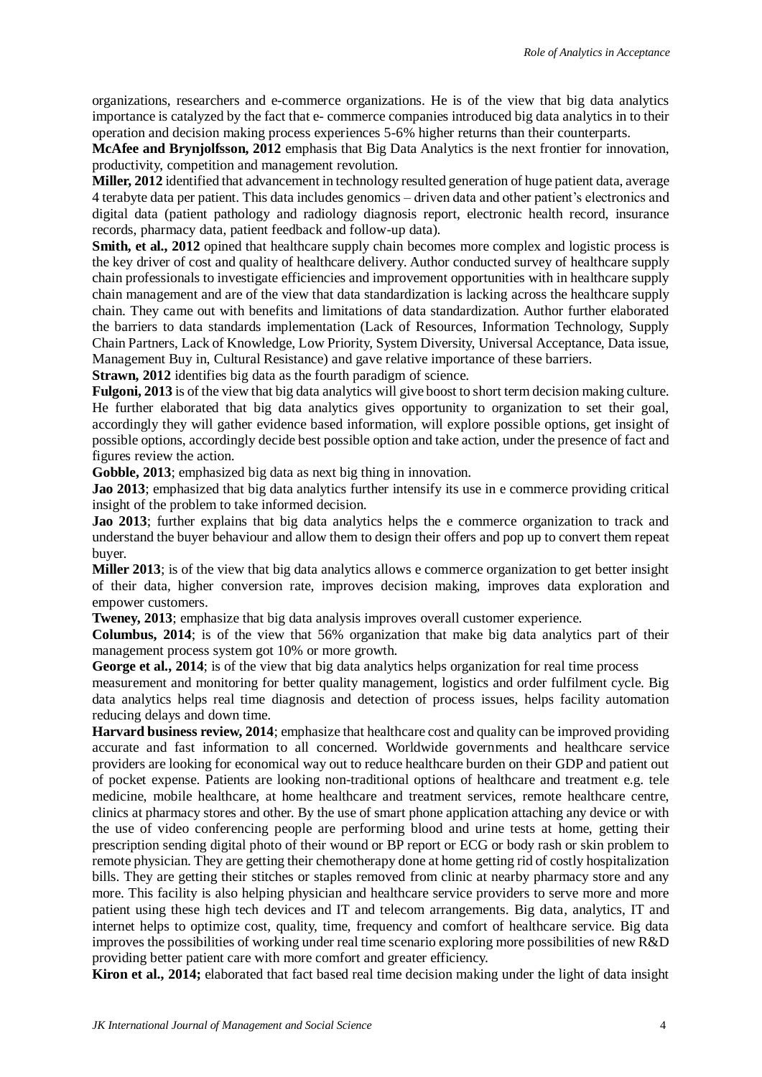organizations, researchers and e-commerce organizations. He is of the view that big data analytics importance is catalyzed by the fact that e- commerce companies introduced big data analytics in to their operation and decision making process experiences 5-6% higher returns than their counterparts.

**McAfee and Brynjolfsson, 2012** emphasis that Big Data Analytics is the next frontier for innovation, productivity, competition and management revolution.

**Miller, 2012** identified that advancement in technology resulted generation of huge patient data, average 4 terabyte data per patient. This data includes genomics – driven data and other patient's electronics and digital data (patient pathology and radiology diagnosis report, electronic health record, insurance records, pharmacy data, patient feedback and follow-up data).

**Smith, et al., 2012** opined that healthcare supply chain becomes more complex and logistic process is the key driver of cost and quality of healthcare delivery. Author conducted survey of healthcare supply chain professionals to investigate efficiencies and improvement opportunities with in healthcare supply chain management and are of the view that data standardization is lacking across the healthcare supply chain. They came out with benefits and limitations of data standardization. Author further elaborated the barriers to data standards implementation (Lack of Resources, Information Technology, Supply Chain Partners, Lack of Knowledge, Low Priority, System Diversity, Universal Acceptance, Data issue, Management Buy in, Cultural Resistance) and gave relative importance of these barriers.

**Strawn, 2012** identifies big data as the fourth paradigm of science.

**Fulgoni, 2013** is of the view that big data analytics will give boost to short term decision making culture. He further elaborated that big data analytics gives opportunity to organization to set their goal, accordingly they will gather evidence based information, will explore possible options, get insight of possible options, accordingly decide best possible option and take action, under the presence of fact and figures review the action.

**Gobble, 2013**; emphasized big data as next big thing in innovation.

**Jao 2013**; emphasized that big data analytics further intensify its use in e commerce providing critical insight of the problem to take informed decision.

**Jao 2013**; further explains that big data analytics helps the e commerce organization to track and understand the buyer behaviour and allow them to design their offers and pop up to convert them repeat buyer.

**Miller 2013**; is of the view that big data analytics allows e commerce organization to get better insight of their data, higher conversion rate, improves decision making, improves data exploration and empower customers.

**Tweney, 2013**; emphasize that big data analysis improves overall customer experience.

**Columbus, 2014**; is of the view that 56% organization that make big data analytics part of their management process system got 10% or more growth.

George et al., 2014; is of the view that big data analytics helps organization for real time process

measurement and monitoring for better quality management, logistics and order fulfilment cycle. Big data analytics helps real time diagnosis and detection of process issues, helps facility automation reducing delays and down time.

**Harvard business review, 2014**; emphasize that healthcare cost and quality can be improved providing accurate and fast information to all concerned. Worldwide governments and healthcare service providers are looking for economical way out to reduce healthcare burden on their GDP and patient out of pocket expense. Patients are looking non-traditional options of healthcare and treatment e.g. tele medicine, mobile healthcare, at home healthcare and treatment services, remote healthcare centre, clinics at pharmacy stores and other. By the use of smart phone application attaching any device or with the use of video conferencing people are performing blood and urine tests at home, getting their prescription sending digital photo of their wound or BP report or ECG or body rash or skin problem to remote physician. They are getting their chemotherapy done at home getting rid of costly hospitalization bills. They are getting their stitches or staples removed from clinic at nearby pharmacy store and any more. This facility is also helping physician and healthcare service providers to serve more and more patient using these high tech devices and IT and telecom arrangements. Big data, analytics, IT and internet helps to optimize cost, quality, time, frequency and comfort of healthcare service. Big data improves the possibilities of working under real time scenario exploring more possibilities of new R&D providing better patient care with more comfort and greater efficiency.

**Kiron et al., 2014;** elaborated that fact based real time decision making under the light of data insight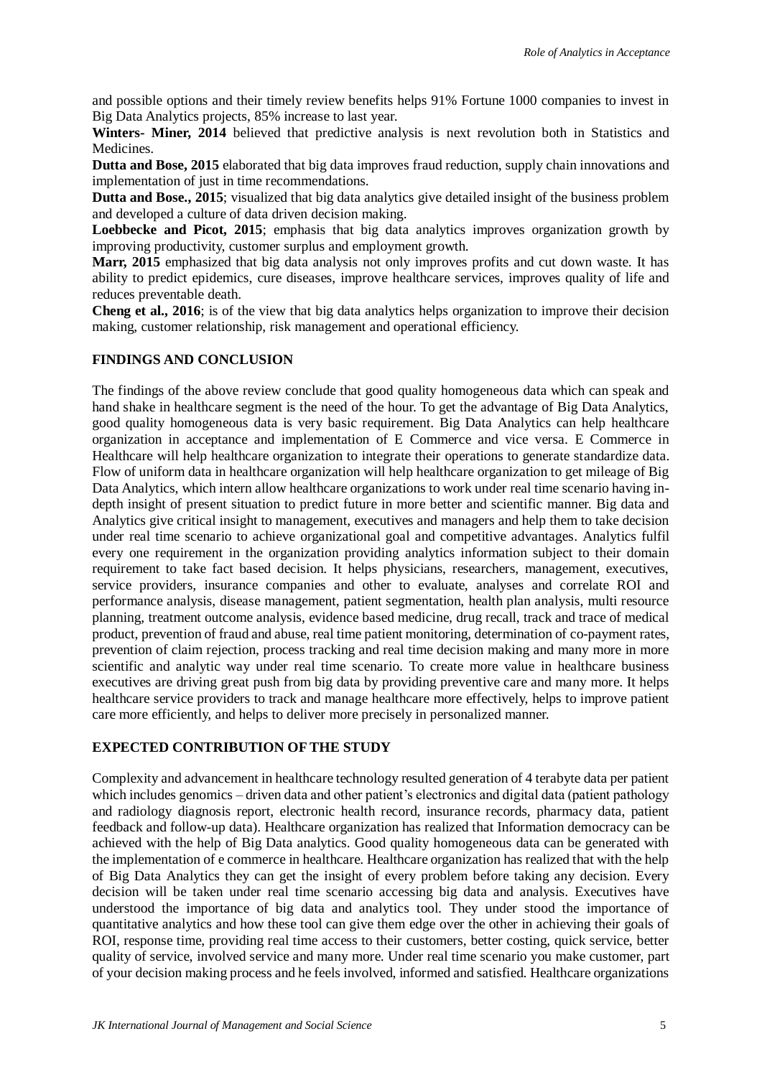and possible options and their timely review benefits helps 91% Fortune 1000 companies to invest in Big Data Analytics projects, 85% increase to last year.

**Winters- Miner, 2014** believed that predictive analysis is next revolution both in Statistics and Medicines.

**Dutta and Bose, 2015** elaborated that big data improves fraud reduction, supply chain innovations and implementation of just in time recommendations.

**Dutta and Bose., 2015**; visualized that big data analytics give detailed insight of the business problem and developed a culture of data driven decision making.

**Loebbecke and Picot, 2015**; emphasis that big data analytics improves organization growth by improving productivity, customer surplus and employment growth.

**Marr, 2015** emphasized that big data analysis not only improves profits and cut down waste. It has ability to predict epidemics, cure diseases, improve healthcare services, improves quality of life and reduces preventable death.

**Cheng et al., 2016**; is of the view that big data analytics helps organization to improve their decision making, customer relationship, risk management and operational efficiency.

### **FINDINGS AND CONCLUSION**

The findings of the above review conclude that good quality homogeneous data which can speak and hand shake in healthcare segment is the need of the hour. To get the advantage of Big Data Analytics, good quality homogeneous data is very basic requirement. Big Data Analytics can help healthcare organization in acceptance and implementation of E Commerce and vice versa. E Commerce in Healthcare will help healthcare organization to integrate their operations to generate standardize data. Flow of uniform data in healthcare organization will help healthcare organization to get mileage of Big Data Analytics, which intern allow healthcare organizations to work under real time scenario having indepth insight of present situation to predict future in more better and scientific manner. Big data and Analytics give critical insight to management, executives and managers and help them to take decision under real time scenario to achieve organizational goal and competitive advantages. Analytics fulfil every one requirement in the organization providing analytics information subject to their domain requirement to take fact based decision. It helps physicians, researchers, management, executives, service providers, insurance companies and other to evaluate, analyses and correlate ROI and performance analysis, disease management, patient segmentation, health plan analysis, multi resource planning, treatment outcome analysis, evidence based medicine, drug recall, track and trace of medical product, prevention of fraud and abuse, real time patient monitoring, determination of co-payment rates, prevention of claim rejection, process tracking and real time decision making and many more in more scientific and analytic way under real time scenario. To create more value in healthcare business executives are driving great push from big data by providing preventive care and many more. It helps healthcare service providers to track and manage healthcare more effectively, helps to improve patient care more efficiently, and helps to deliver more precisely in personalized manner.

#### **EXPECTED CONTRIBUTION OF THE STUDY**

Complexity and advancement in healthcare technology resulted generation of 4 terabyte data per patient which includes genomics – driven data and other patient's electronics and digital data (patient pathology and radiology diagnosis report, electronic health record, insurance records, pharmacy data, patient feedback and follow-up data). Healthcare organization has realized that Information democracy can be achieved with the help of Big Data analytics. Good quality homogeneous data can be generated with the implementation of e commerce in healthcare. Healthcare organization has realized that with the help of Big Data Analytics they can get the insight of every problem before taking any decision. Every decision will be taken under real time scenario accessing big data and analysis. Executives have understood the importance of big data and analytics tool. They under stood the importance of quantitative analytics and how these tool can give them edge over the other in achieving their goals of ROI, response time, providing real time access to their customers, better costing, quick service, better quality of service, involved service and many more. Under real time scenario you make customer, part of your decision making process and he feels involved, informed and satisfied. Healthcare organizations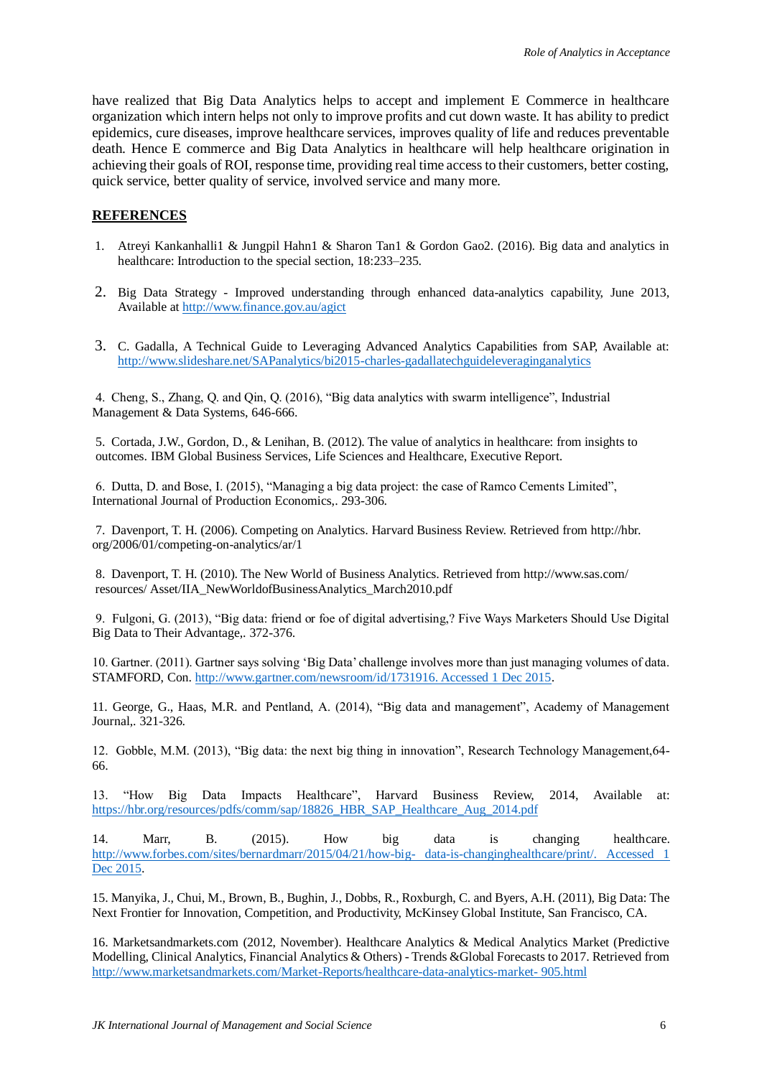have realized that Big Data Analytics helps to accept and implement E Commerce in healthcare organization which intern helps not only to improve profits and cut down waste. It has ability to predict epidemics, cure diseases, improve healthcare services, improves quality of life and reduces preventable death. Hence E commerce and Big Data Analytics in healthcare will help healthcare origination in achieving their goals of ROI, response time, providing real time access to their customers, better costing, quick service, better quality of service, involved service and many more.

## **REFERENCES**

- 1. Atreyi Kankanhalli1 & Jungpil Hahn1 & Sharon Tan1 & Gordon Gao2. (2016). Big data and analytics in healthcare: Introduction to the special section, 18:233–235.
- 2. Big Data Strategy Improved understanding through enhanced data-analytics capability, June 2013, Available a[t http://www.finance.gov.au/agict](http://www.finance.gov.au/agict)
- 3. C. Gadalla, A Technical Guide to Leveraging Advanced Analytics Capabilities from SAP, Available at: <http://www.slideshare.net/SAPanalytics/bi2015-charles-gadallatechguideleveraginganalytics>

4. Cheng, S., Zhang, Q. and Qin, Q. (2016), "Big data analytics with swarm intelligence", Industrial Management & Data Systems, 646-666.

5. Cortada, J.W., Gordon, D., & Lenihan, B. (2012). The value of analytics in healthcare: from insights to outcomes. IBM Global Business Services, Life Sciences and Healthcare, Executive Report.

6. Dutta, D. and Bose, I. (2015), "Managing a big data project: the case of Ramco Cements Limited", International Journal of Production Economics,. 293-306.

7. Davenport, T. H. (2006). Competing on Analytics. Harvard Business Review. Retrieved from http://hbr. org/2006/01/competing-on-analytics/ar/1

8. Davenport, T. H. (2010). The New World of Business Analytics. Retrieved from http://www.sas.com/ resources/ Asset/IIA\_NewWorldofBusinessAnalytics\_March2010.pdf

9. Fulgoni, G. (2013), "Big data: friend or foe of digital advertising,? Five Ways Marketers Should Use Digital Big Data to Their Advantage,. 372-376.

10. Gartner. (2011). Gartner says solving 'Big Data' challenge involves more than just managing volumes of data. STAMFORD, Con. [http://www.gartner.com/newsroom/id/1731916. Accessed 1 Dec 2015.](http://www.gartner.com/newsroom/id/1731916.%20Accessed%201%20Dec%202015)

11. George, G., Haas, M.R. and Pentland, A. (2014), "Big data and management", Academy of Management Journal,. 321-326.

12. Gobble, M.M. (2013), "Big data: the next big thing in innovation", Research Technology Management,64- 66.

13. "How Big Data Impacts Healthcare", Harvard Business Review, 2014, Available at: [https://hbr.org/resources/pdfs/comm/sap/18826\\_HBR\\_SAP\\_Healthcare\\_Aug\\_2014.pdf](https://hbr.org/resources/pdfs/comm/sap/18826_HBR_SAP_Healthcare_Aug_2014.pdf)

14. Marr, B. (2015). How big data is changing healthcare. [http://www.forbes.com/sites/bernardmarr/2015/04/21/how-big-](http://www.forbes.com/sites/bernardmarr/2015/04/21/how-big-%20data-is-changinghealthcare/print/.%20Accessed%201%20Dec%202015) data-is-changinghealthcare/print/. Accessed 1 [Dec 2015.](http://www.forbes.com/sites/bernardmarr/2015/04/21/how-big-%20data-is-changinghealthcare/print/.%20Accessed%201%20Dec%202015)

15. Manyika, J., Chui, M., Brown, B., Bughin, J., Dobbs, R., Roxburgh, C. and Byers, A.H. (2011), Big Data: The Next Frontier for Innovation, Competition, and Productivity, McKinsey Global Institute, San Francisco, CA.

16. Marketsandmarkets.com (2012, November). Healthcare Analytics & Medical Analytics Market (Predictive Modelling, Clinical Analytics, Financial Analytics & Others) - Trends &Global Forecasts to 2017. Retrieved from [http://www.marketsandmarkets.com/Market-Reports/healthcare-data-analytics-market-](http://www.marketsandmarkets.com/Market-Reports/healthcare-data-analytics-market-%20905.html) 905.html